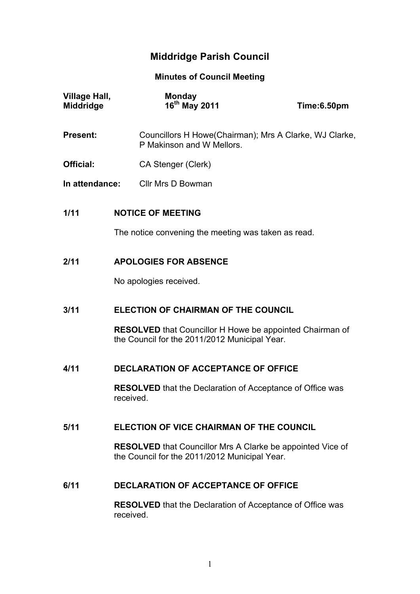# **Middridge Parish Council**

**Minutes of Council Meeting**

| Village Hall,<br>Middridge | <b>Monday</b><br>16 <sup>th</sup> May 2011                                                                         | Time:6.50pm                              |  |
|----------------------------|--------------------------------------------------------------------------------------------------------------------|------------------------------------------|--|
| <b>Present:</b>            | Councillors H Howe(Chairman); Mrs A Clarke, WJ Clarke,<br>P Makinson and W Mellors.                                |                                          |  |
| Official:                  | CA Stenger (Clerk)                                                                                                 |                                          |  |
| In attendance:             | Cllr Mrs D Bowman                                                                                                  |                                          |  |
| 1/11                       | <b>NOTICE OF MEETING</b>                                                                                           |                                          |  |
|                            | The notice convening the meeting was taken as read.                                                                |                                          |  |
| 2/11                       | <b>APOLOGIES FOR ABSENCE</b>                                                                                       |                                          |  |
|                            | No apologies received.                                                                                             |                                          |  |
| 3/11                       | <b>ELECTION OF CHAIRMAN OF THE COUNCIL</b>                                                                         |                                          |  |
|                            | <b>RESOLVED</b> that Councillor H Howe be appointed Chairman of<br>the Council for the 2011/2012 Municipal Year.   |                                          |  |
| 4/11                       | <b>DECLARATION OF ACCEPTANCE OF OFFICE</b>                                                                         |                                          |  |
|                            | <b>RESOLVED</b> that the Declaration of Acceptance of Office was<br>received.                                      |                                          |  |
| 5/11                       |                                                                                                                    | ELECTION OF VICE CHAIRMAN OF THE COUNCIL |  |
|                            | <b>RESOLVED</b> that Councillor Mrs A Clarke be appointed Vice of<br>the Council for the 2011/2012 Municipal Year. |                                          |  |
| 6/11                       | <b>DECLARATION OF ACCEPTANCE OF OFFICE</b>                                                                         |                                          |  |
|                            | <b>RESOLVED</b> that the Declaration of Acceptance of Office was<br>received.                                      |                                          |  |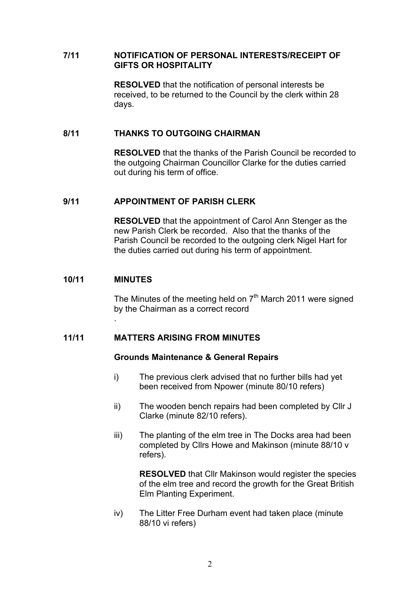#### **7/11 NOTIFICATION OF PERSONAL INTERESTS/RECEIPT OF GIFTS OR HOSPITALITY**

**RESOLVED** that the notification of personal interests be received, to be returned to the Council by the clerk within 28 days.

#### **8/11 THANKS TO OUTGOING CHAIRMAN**

**RESOLVED** that the thanks of the Parish Council be recorded to the outgoing Chairman Councillor Clarke for the duties carried out during his term of office.

# **9/11 APPOINTMENT OF PARISH CLERK**

**RESOLVED** that the appointment of Carol Ann Stenger as the new Parish Clerk be recorded. Also that the thanks of the Parish Council be recorded to the outgoing clerk Nigel Hart for the duties carried out during his term of appointment.

#### **10/11 MINUTES**

.

The Minutes of the meeting held on  $7<sup>th</sup>$  March 2011 were signed by the Chairman as a correct record

### **11/11 MATTERS ARISING FROM MINUTES**

#### **Grounds Maintenance & General Repairs**

- i) The previous clerk advised that no further bills had yet been received from Npower (minute 80/10 refers)
- ii) The wooden bench repairs had been completed by Cllr J Clarke (minute 82/10 refers).
- iii) The planting of the elm tree in The Docks area had been completed by Cllrs Howe and Makinson (minute 88/10 v refers).

**RESOLVED** that Cllr Makinson would register the species of the elm tree and record the growth for the Great British Elm Planting Experiment.

iv) The Litter Free Durham event had taken place (minute 88/10 vi refers)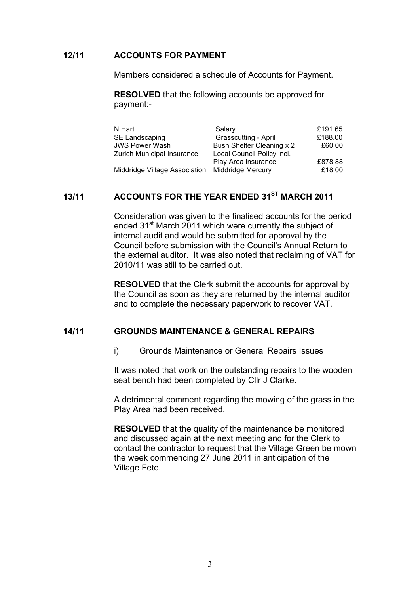#### **12/11 ACCOUNTS FOR PAYMENT**

Members considered a schedule of Accounts for Payment.

**RESOLVED** that the following accounts be approved for payment:-

| N Hart                                          | Salary                     | £191.65 |
|-------------------------------------------------|----------------------------|---------|
| SE Landscaping                                  | Grasscutting - April       | £188.00 |
| <b>JWS Power Wash</b>                           | Bush Shelter Cleaning x 2  | £60.00  |
| <b>Zurich Municipal Insurance</b>               | Local Council Policy incl. |         |
|                                                 | Play Area insurance        | £878.88 |
| Middridge Village Association Middridge Mercury |                            | £18.00  |

# **13/11 ACCOUNTS FOR THE YEAR ENDED 31ST MARCH 2011**

Consideration was given to the finalised accounts for the period ended 31<sup>st</sup> March 2011 which were currently the subject of internal audit and would be submitted for approval by the Council before submission with the Council's Annual Return to the external auditor. It was also noted that reclaiming of VAT for 2010/11 was still to be carried out.

**RESOLVED** that the Clerk submit the accounts for approval by the Council as soon as they are returned by the internal auditor and to complete the necessary paperwork to recover VAT.

# **14/11 GROUNDS MAINTENANCE & GENERAL REPAIRS**

i) Grounds Maintenance or General Repairs Issues

It was noted that work on the outstanding repairs to the wooden seat bench had been completed by Cllr J Clarke.

A detrimental comment regarding the mowing of the grass in the Play Area had been received.

**RESOLVED** that the quality of the maintenance be monitored and discussed again at the next meeting and for the Clerk to contact the contractor to request that the Village Green be mown the week commencing 27 June 2011 in anticipation of the Village Fete.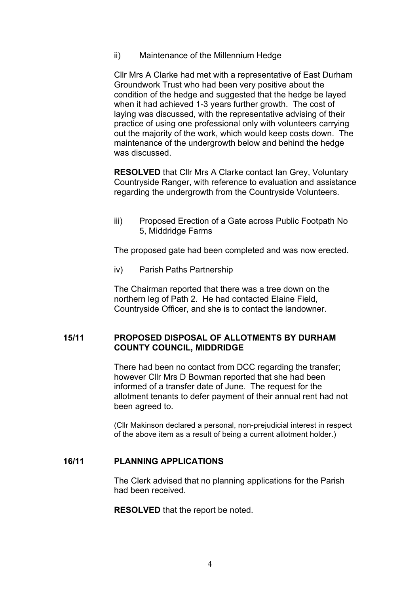ii) Maintenance of the Millennium Hedge

Cllr Mrs A Clarke had met with a representative of East Durham Groundwork Trust who had been very positive about the condition of the hedge and suggested that the hedge be layed when it had achieved 1-3 years further growth. The cost of laying was discussed, with the representative advising of their practice of using one professional only with volunteers carrying out the majority of the work, which would keep costs down. The maintenance of the undergrowth below and behind the hedge was discussed.

**RESOLVED** that Cllr Mrs A Clarke contact Ian Grey, Voluntary Countryside Ranger, with reference to evaluation and assistance regarding the undergrowth from the Countryside Volunteers.

iii) Proposed Erection of a Gate across Public Footpath No 5, Middridge Farms

The proposed gate had been completed and was now erected.

iv) Parish Paths Partnership

The Chairman reported that there was a tree down on the northern leg of Path 2. He had contacted Elaine Field, Countryside Officer, and she is to contact the landowner.

### **15/11 PROPOSED DISPOSAL OF ALLOTMENTS BY DURHAM COUNTY COUNCIL, MIDDRIDGE**

There had been no contact from DCC regarding the transfer; however Cllr Mrs D Bowman reported that she had been informed of a transfer date of June. The request for the allotment tenants to defer payment of their annual rent had not been agreed to.

(Cllr Makinson declared a personal, non-prejudicial interest in respect of the above item as a result of being a current allotment holder.)

### **16/11 PLANNING APPLICATIONS**

The Clerk advised that no planning applications for the Parish had been received.

**RESOLVED** that the report be noted.